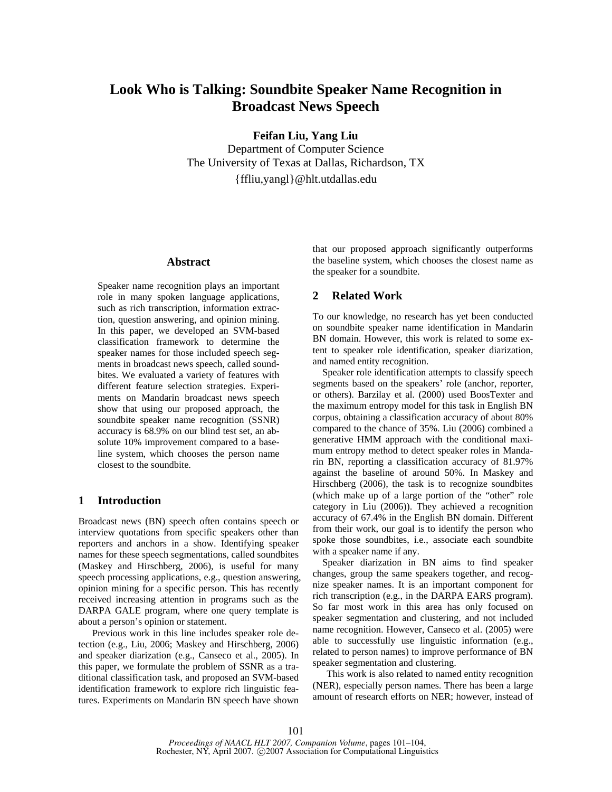# **Look Who is Talking: Soundbite Speaker Name Recognition in Broadcast News Speech**

**Feifan Liu, Yang Liu** 

Department of Computer Science The University of Texas at Dallas, Richardson, TX {ffliu,yangl}@hlt.utdallas.edu

# **Abstract**

Speaker name recognition plays an important role in many spoken language applications, such as rich transcription, information extraction, question answering, and opinion mining. In this paper, we developed an SVM-based classification framework to determine the speaker names for those included speech segments in broadcast news speech, called soundbites. We evaluated a variety of features with different feature selection strategies. Experiments on Mandarin broadcast news speech show that using our proposed approach, the soundbite speaker name recognition (SSNR) accuracy is 68.9% on our blind test set, an absolute 10% improvement compared to a baseline system, which chooses the person name closest to the soundbite.

# **1 Introduction**

Broadcast news (BN) speech often contains speech or interview quotations from specific speakers other than reporters and anchors in a show. Identifying speaker names for these speech segmentations, called soundbites (Maskey and Hirschberg, 2006), is useful for many speech processing applications, e.g., question answering, opinion mining for a specific person. This has recently received increasing attention in programs such as the DARPA GALE program, where one query template is about a person's opinion or statement.

Previous work in this line includes speaker role detection (e.g., Liu, 2006; Maskey and Hirschberg, 2006) and speaker diarization (e.g., Canseco et al., 2005). In this paper, we formulate the problem of SSNR as a traditional classification task, and proposed an SVM-based identification framework to explore rich linguistic features. Experiments on Mandarin BN speech have shown that our proposed approach significantly outperforms the baseline system, which chooses the closest name as the speaker for a soundbite.

#### **2 Related Work**

To our knowledge, no research has yet been conducted on soundbite speaker name identification in Mandarin BN domain. However, this work is related to some extent to speaker role identification, speaker diarization, and named entity recognition.

Speaker role identification attempts to classify speech segments based on the speakers' role (anchor, reporter, or others). Barzilay et al. (2000) used BoosTexter and the maximum entropy model for this task in English BN corpus, obtaining a classification accuracy of about 80% compared to the chance of 35%. Liu (2006) combined a generative HMM approach with the conditional maximum entropy method to detect speaker roles in Mandarin BN, reporting a classification accuracy of 81.97% against the baseline of around 50%. In Maskey and Hirschberg (2006), the task is to recognize soundbites (which make up of a large portion of the "other" role category in Liu (2006)). They achieved a recognition accuracy of 67.4% in the English BN domain. Different from their work, our goal is to identify the person who spoke those soundbites, i.e., associate each soundbite with a speaker name if any.

Speaker diarization in BN aims to find speaker changes, group the same speakers together, and recognize speaker names. It is an important component for rich transcription (e.g., in the DARPA EARS program). So far most work in this area has only focused on speaker segmentation and clustering, and not included name recognition. However, Canseco et al. (2005) were able to successfully use linguistic information (e.g., related to person names) to improve performance of BN speaker segmentation and clustering.

This work is also related to named entity recognition (NER), especially person names. There has been a large amount of research efforts on NER; however, instead of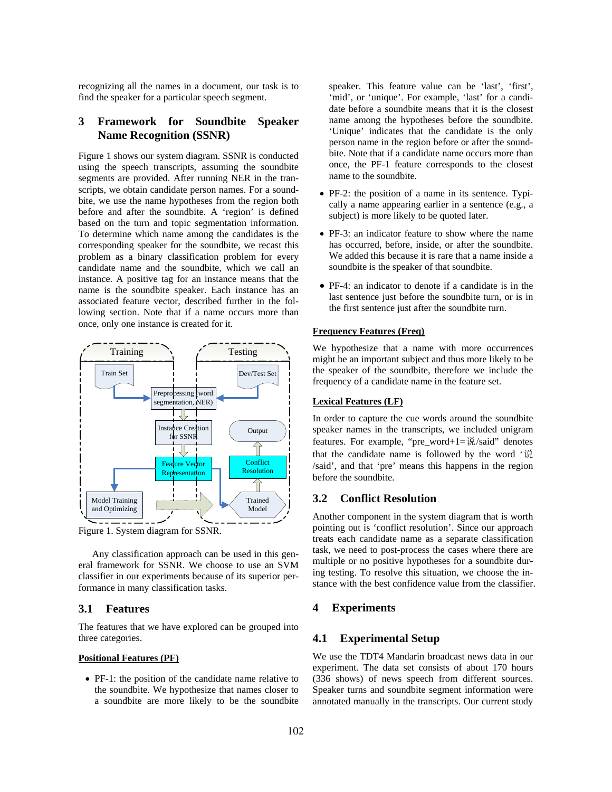recognizing all the names in a document, our task is to find the speaker for a particular speech segment.

# **3 Framework for Soundbite Speaker Name Recognition (SSNR)**

Figure 1 shows our system diagram. SSNR is conducted using the speech transcripts, assuming the soundbite segments are provided. After running NER in the transcripts, we obtain candidate person names. For a soundbite, we use the name hypotheses from the region both before and after the soundbite. A 'region' is defined based on the turn and topic segmentation information. To determine which name among the candidates is the corresponding speaker for the soundbite, we recast this problem as a binary classification problem for every candidate name and the soundbite, which we call an instance. A positive tag for an instance means that the name is the soundbite speaker. Each instance has an associated feature vector, described further in the following section. Note that if a name occurs more than once, only one instance is created for it.



Figure 1. System diagram for SSNR.

Any classification approach can be used in this general framework for SSNR. We choose to use an SVM classifier in our experiments because of its superior performance in many classification tasks.

## **3.1 Features**

The features that we have explored can be grouped into three categories.

#### **Positional Features (PF)**

• PF-1: the position of the candidate name relative to the soundbite. We hypothesize that names closer to a soundbite are more likely to be the soundbite speaker. This feature value can be 'last', 'first', 'mid', or 'unique'. For example, 'last' for a candidate before a soundbite means that it is the closest name among the hypotheses before the soundbite. 'Unique' indicates that the candidate is the only person name in the region before or after the soundbite. Note that if a candidate name occurs more than once, the PF-1 feature corresponds to the closest name to the soundbite.

- PF-2: the position of a name in its sentence. Typically a name appearing earlier in a sentence (e.g., a subject) is more likely to be quoted later.
- PF-3: an indicator feature to show where the name has occurred, before, inside, or after the soundbite. We added this because it is rare that a name inside a soundbite is the speaker of that soundbite.
- PF-4: an indicator to denote if a candidate is in the last sentence just before the soundbite turn, or is in the first sentence just after the soundbite turn.

#### **Frequency Features (Freq)**

We hypothesize that a name with more occurrences might be an important subject and thus more likely to be the speaker of the soundbite, therefore we include the frequency of a candidate name in the feature set.

## **Lexical Features (LF)**

In order to capture the cue words around the soundbite speaker names in the transcripts, we included unigram features. For example, "pre\_word+1= $\ddot{\psi}/s$ aid" denotes that the candidate name is followed by the word '说 /said', and that 'pre' means this happens in the region before the soundbite.

# **3.2 Conflict Resolution**

Another component in the system diagram that is worth pointing out is 'conflict resolution'. Since our approach treats each candidate name as a separate classification task, we need to post-process the cases where there are multiple or no positive hypotheses for a soundbite during testing. To resolve this situation, we choose the instance with the best confidence value from the classifier.

## **4 Experiments**

## **4.1 Experimental Setup**

We use the TDT4 Mandarin broadcast news data in our experiment. The data set consists of about 170 hours (336 shows) of news speech from different sources. Speaker turns and soundbite segment information were annotated manually in the transcripts. Our current study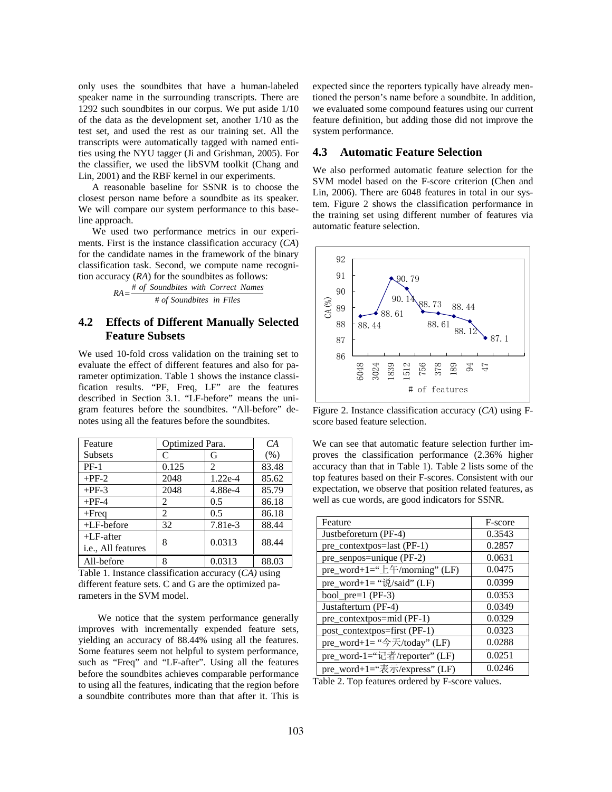only uses the soundbites that have a human-labeled speaker name in the surrounding transcripts. There are 1292 such soundbites in our corpus. We put aside 1/10 of the data as the development set, another 1/10 as the test set, and used the rest as our training set. All the transcripts were automatically tagged with named entities using the NYU tagger (Ji and Grishman, 2005). For the classifier, we used the libSVM toolkit (Chang and Lin, 2001) and the RBF kernel in our experiments.

A reasonable baseline for SSNR is to choose the closest person name before a soundbite as its speaker. We will compare our system performance to this baseline approach.

We used two performance metrics in our experiments. First is the instance classification accuracy (*CA*) for the candidate names in the framework of the binary classification task. Second, we compute name recognition accuracy (*RA*) for the soundbites as follows:

> *of Soundbites in Files* #  $RA = \frac{\text{\# of Soundbites with Correct Names}}{\text{Area} + \text{Area} + \text{Area}}$

# **4.2 Effects of Different Manually Selected Feature Subsets**

We used 10-fold cross validation on the training set to evaluate the effect of different features and also for parameter optimization. Table 1 shows the instance classification results. "PF, Freq, LF" are the features described in Section 3.1. "LF-before" means the unigram features before the soundbites. "All-before" denotes using all the features before the soundbites.

| Feature                            | Optimized Para. |           | CA    |
|------------------------------------|-----------------|-----------|-------|
| <b>Subsets</b>                     | C               | G         | (% )  |
| $PF-1$                             | 0.125           | 2         | 83.48 |
| $+PF-2$                            | 2048            | $1.22e-4$ | 85.62 |
| $+PF-3$                            | 2048            | 4.88e-4   | 85.79 |
| $+PF-4$                            | 2               | 0.5       | 86.18 |
| $+$ Freq                           | $\mathfrak{D}$  | 0.5       | 86.18 |
| $+LF$ -before                      | 32              | 7.81e-3   | 88.44 |
| $+LF$ -after<br>i.e., All features | 8               | 0.0313    | 88.44 |
| All-before                         | 8               | 0.0313    | 88.03 |

Table 1. Instance classification accuracy (*CA)* using different feature sets. C and G are the optimized parameters in the SVM model.

We notice that the system performance generally improves with incrementally expended feature sets, yielding an accuracy of 88.44% using all the features. Some features seem not helpful to system performance, such as "Freq" and "LF-after". Using all the features before the soundbites achieves comparable performance to using all the features, indicating that the region before a soundbite contributes more than that after it. This is expected since the reporters typically have already mentioned the person's name before a soundbite. In addition, we evaluated some compound features using our current feature definition, but adding those did not improve the system performance.

#### **4.3 Automatic Feature Selection**

We also performed automatic feature selection for the SVM model based on the F-score criterion (Chen and Lin, 2006). There are 6048 features in total in our system. Figure 2 shows the classification performance in the training set using different number of features via automatic feature selection.



Figure 2. Instance classification accuracy (*CA*) using Fscore based feature selection.

We can see that automatic feature selection further improves the classification performance (2.36% higher accuracy than that in Table 1). Table 2 lists some of the top features based on their F-scores. Consistent with our expectation, we observe that position related features, as well as cue words, are good indicators for SSNR.

| Feature                                                      | F-score |
|--------------------------------------------------------------|---------|
| Justbeforeturn (PF-4)                                        | 0.3543  |
| pre_contextpos=last (PF-1)                                   | 0.2857  |
| pre_senpos=unique (PF-2)                                     | 0.0631  |
| pre_word+1="上午/morning" (LF)                                 | 0.0475  |
| pre_word+1= " $\ddot{\psi}$ /said" (LF)                      | 0.0399  |
| bool $pre=1$ (PF-3)                                          | 0.0353  |
| Justafterturn (PF-4)                                         | 0.0349  |
| pre_contextpos=mid (PF-1)                                    | 0.0329  |
| post_contextpos=first (PF-1)                                 | 0.0323  |
| pre_word+1= " $\rightarrow$ $\overline{\left(}$ /today" (LF) | 0.0288  |
| pre_word-1="记者/reporter" (LF)                                | 0.0251  |
| pre_word+1="表示/express" (LF)                                 | 0.0246  |

Table 2. Top features ordered by F-score values.